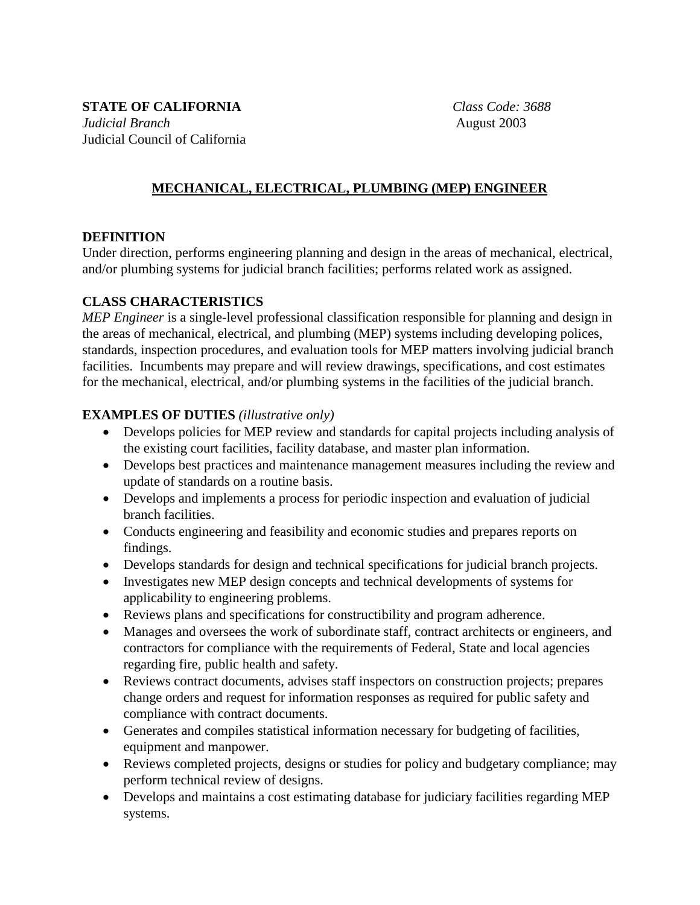**STATE OF CALIFORNIA** *Class Code: 3688 Judicial Branch* **August 2003** Judicial Council of California

## **MECHANICAL, ELECTRICAL, PLUMBING (MEP) ENGINEER**

### **DEFINITION**

Under direction, performs engineering planning and design in the areas of mechanical, electrical, and/or plumbing systems for judicial branch facilities; performs related work as assigned.

### **CLASS CHARACTERISTICS**

*MEP Engineer* is a single-level professional classification responsible for planning and design in the areas of mechanical, electrical, and plumbing (MEP) systems including developing polices, standards, inspection procedures, and evaluation tools for MEP matters involving judicial branch facilities. Incumbents may prepare and will review drawings, specifications, and cost estimates for the mechanical, electrical, and/or plumbing systems in the facilities of the judicial branch.

### **EXAMPLES OF DUTIES** *(illustrative only)*

- Develops policies for MEP review and standards for capital projects including analysis of the existing court facilities, facility database, and master plan information.
- Develops best practices and maintenance management measures including the review and update of standards on a routine basis.
- Develops and implements a process for periodic inspection and evaluation of judicial branch facilities.
- Conducts engineering and feasibility and economic studies and prepares reports on findings.
- Develops standards for design and technical specifications for judicial branch projects.
- Investigates new MEP design concepts and technical developments of systems for applicability to engineering problems.
- Reviews plans and specifications for constructibility and program adherence.
- Manages and oversees the work of subordinate staff, contract architects or engineers, and contractors for compliance with the requirements of Federal, State and local agencies regarding fire, public health and safety.
- Reviews contract documents, advises staff inspectors on construction projects; prepares change orders and request for information responses as required for public safety and compliance with contract documents.
- Generates and compiles statistical information necessary for budgeting of facilities, equipment and manpower.
- Reviews completed projects, designs or studies for policy and budgetary compliance; may perform technical review of designs.
- Develops and maintains a cost estimating database for judiciary facilities regarding MEP systems.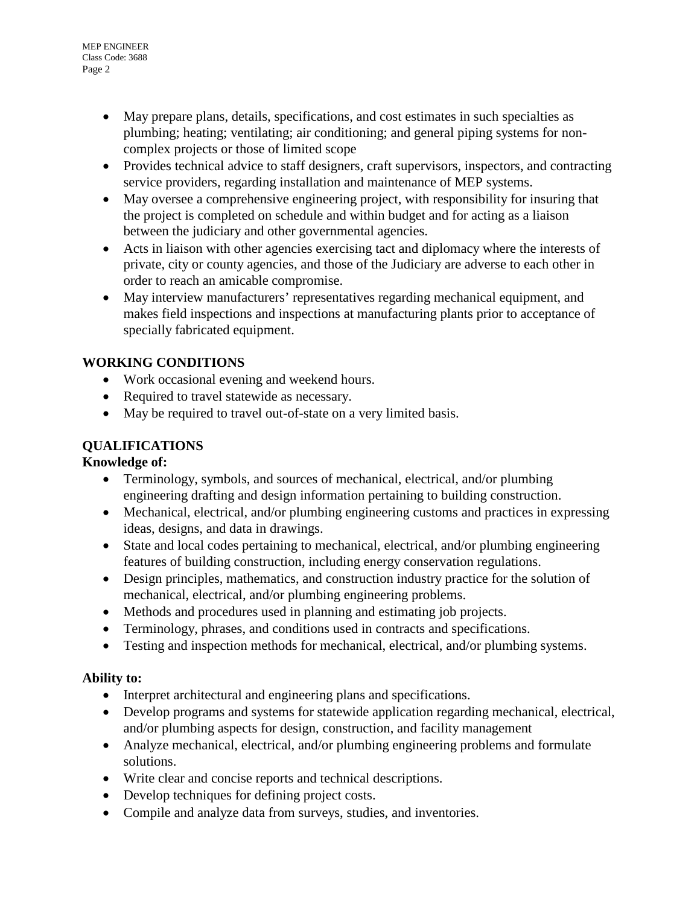- May prepare plans, details, specifications, and cost estimates in such specialties as plumbing; heating; ventilating; air conditioning; and general piping systems for noncomplex projects or those of limited scope
- Provides technical advice to staff designers, craft supervisors, inspectors, and contracting service providers, regarding installation and maintenance of MEP systems.
- May oversee a comprehensive engineering project, with responsibility for insuring that the project is completed on schedule and within budget and for acting as a liaison between the judiciary and other governmental agencies.
- Acts in liaison with other agencies exercising tact and diplomacy where the interests of private, city or county agencies, and those of the Judiciary are adverse to each other in order to reach an amicable compromise.
- May interview manufacturers' representatives regarding mechanical equipment, and makes field inspections and inspections at manufacturing plants prior to acceptance of specially fabricated equipment.

# **WORKING CONDITIONS**

- Work occasional evening and weekend hours.
- Required to travel statewide as necessary.
- May be required to travel out-of-state on a very limited basis.

## **QUALIFICATIONS**

### **Knowledge of:**

- Terminology, symbols, and sources of mechanical, electrical, and/or plumbing engineering drafting and design information pertaining to building construction.
- Mechanical, electrical, and/or plumbing engineering customs and practices in expressing ideas, designs, and data in drawings.
- State and local codes pertaining to mechanical, electrical, and/or plumbing engineering features of building construction, including energy conservation regulations.
- Design principles, mathematics, and construction industry practice for the solution of mechanical, electrical, and/or plumbing engineering problems.
- Methods and procedures used in planning and estimating job projects.
- Terminology, phrases, and conditions used in contracts and specifications.
- Testing and inspection methods for mechanical, electrical, and/or plumbing systems.

### **Ability to:**

- Interpret architectural and engineering plans and specifications.
- Develop programs and systems for statewide application regarding mechanical, electrical, and/or plumbing aspects for design, construction, and facility management
- Analyze mechanical, electrical, and/or plumbing engineering problems and formulate solutions.
- Write clear and concise reports and technical descriptions.
- Develop techniques for defining project costs.
- Compile and analyze data from surveys, studies, and inventories.